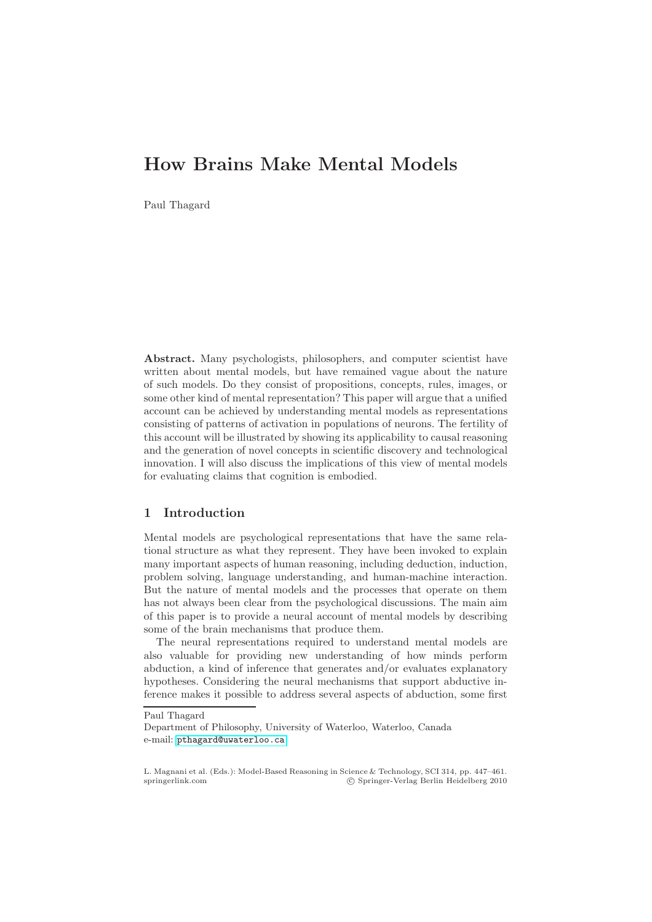Paul Thagard

**Abstract.** Many psychologists, philosophers, and computer scientist have written about mental models, but have remained vague about the nature of such models. Do they consist of propositions, concepts, rules, images, or some other kind of mental representation? This paper will argue that a unified account can be achieved by understanding mental models as representations consisting of patterns of activation in populations of neurons. The fertility of this account will be illustrated by showing its applicability to causal reasoning and the generation of novel concepts in scientific discovery and technological innovation. I will also discuss the implications of this view of mental models for evaluating claims that cognition is embodied.

#### **1 Introduction**

Mental models are psychological representations that have the same relational structure as what they represent. They have been invoked to explain many important aspects of human reasoning, including deduction, induction, problem solving, language understanding, and human-machine interaction. But the nature of mental models and the processes that operate on them has not always been clear from the psychological discussions. The main aim of this paper is to provide a neural account of mental models by describing some of the brain mechanisms that produce them.

The neural representations required to understand mental models are also valuable for providing new understanding of how minds perform abduction, a kind of inference that generates and/or evaluates explanatory hypotheses. Considering the neural mechanisms that support abductive inference makes it possible to address several aspects of abduction, some first

Paul Thagard

Department of Philosophy, University of Waterloo, Waterloo, Canada e-mail: <pthagard@uwaterloo.ca>

L. Magnani et al. (Eds.): Model-Based Reasoning in Science & Technology, SCI 314, pp. 447–461. springerlink.com c Springer-Verlag Berlin Heidelberg 2010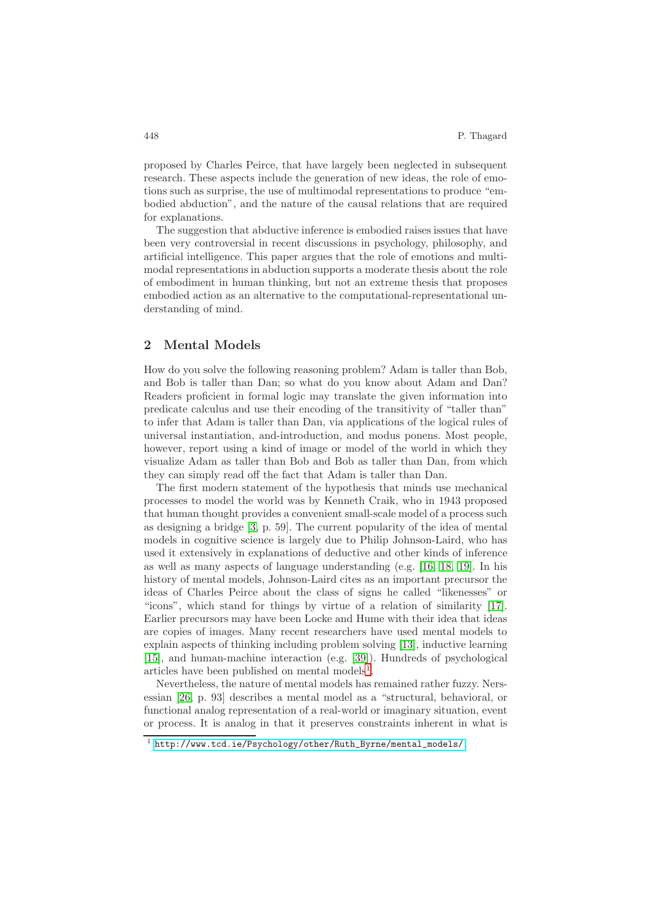proposed by Charles Peirce, that have largely been neglected in subsequent research. These aspects include the generation of new ideas, the role of emotions such as surprise, the use of multimodal representations to produce "embodied abduction", and the nature of the causal relations that are required for explanations.

The suggestion that abductive inference is embodied raises issues that have been very controversial in recent discussions in psychology, philosophy, and artificial intelligence. This paper argues that the role of emotions and multimodal representations in abduction supports a moderate thesis about the role of embodiment in human thinking, but not an extreme thesis that proposes embodied action as an alternative to the computational-representational understanding of mind.

### **2 Mental Models**

How do you solve the following reasoning problem? Adam is taller than Bob, and Bob is taller than Dan; so what do you know about Adam and Dan? Readers proficient in formal logic may translate the given information into predicate calculus and use their encoding of the transitivity of "taller than" to infer that Adam is taller than Dan, via applications of the logical rules of universal instantiation, and-introduction, and modus ponens. Most people, however, report using a kind of image or model of the world in which they visualize Adam as taller than Bob and Bob as taller than Dan, from which they can simply read off the fact that Adam is taller than Dan.

The first modern statement of the hypothesis that minds use mechanical processes to model the world was by Kenneth Craik, who in 1943 proposed that human thought provides a convenient small-scale model of a process such as designing a bridge [3, p. 59]. The current popularity of the idea of mental models in cognitive science is largely due to Philip Johnson-Laird, who has used it extensively in explanations of deductive and other kinds of inference as well as many aspects of language understanding (e.g. [16, 18, 19]. In his history of mental models, Johnson-Laird cites as an important precursor the ideas of Charles Peirce about the class of signs he called "likenesses" or "icons", which stand for things by virtue of a relation of similarity [17]. Earlier precursors may have been Locke and Hume with their idea that ideas are copies of images. Many recent researchers have used mental models to explain aspects of thinking including problem solving [13], inductive learning [15], and human-machine interaction (e.g. [39]). Hundreds of psychological articles have been published on mental models<sup>1</sup>.

Nevertheless, the nature of mental models has remained rather fuzzy. Nersessian [26, p. 93] describes a mental model as a "structural, behavioral, or functional analog representation of a real-world or imaginary situation, event or process. It is analog in that it preserves constraints inherent in what is

 $^{\rm 1}$ [http://www.tcd.ie/Psychology/other/Ruth\\_Byrne/mental\\_models/](http://www.tcd.ie/Psychology/other/Ruth_Byrne/mental_models/)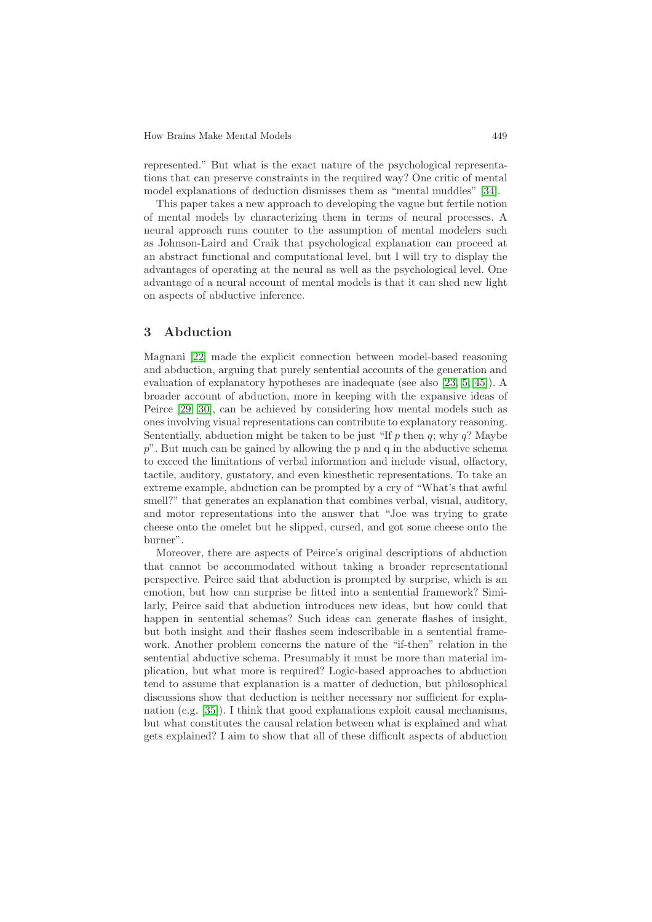represented." But what is the exact nature of the psychological representations that can preserve constraints in the required way? One critic of mental model explanations of deduction dismisses them as "mental muddles" [34].

This paper takes a new approach to developing the vague but fertile notion of mental models by characterizing them in terms of neural processes. A neural approach runs counter to the assumption of mental modelers such as Johnson-Laird and Craik that psychological explanation can proceed at an abstract functional and computational level, but I will try to display the advantages of operating at the neural as well as the psychological level. One advantage of a neural account of mental models is that it can shed new light on aspects of abductive inference.

#### **3 Abduction**

Magnani [22] made the explicit connection between model-based reasoning and abduction, arguing that purely sentential accounts of the generation and evaluation of explanatory hypotheses are inadequate (see also [23, 5, 45]). A broader account of abduction, more in keeping with the expansive ideas of Peirce [29, 30], can be achieved by considering how mental models such as ones involving visual representations can contribute to explanatory reasoning. Sententially, abduction might be taken to be just "If  $p$  then  $q$ ; why  $q$ ? Maybe  $p$ ". But much can be gained by allowing the p and q in the abductive schema to exceed the limitations of verbal information and include visual, olfactory, tactile, auditory, gustatory, and even kinesthetic representations. To take an extreme example, abduction can be prompted by a cry of "What's that awful smell?" that generates an explanation that combines verbal, visual, auditory, and motor representations into the answer that "Joe was trying to grate cheese onto the omelet but he slipped, cursed, and got some cheese onto the burner".

Moreover, there are aspects of Peirce's original descriptions of abduction that cannot be accommodated without taking a broader representational perspective. Peirce said that abduction is prompted by surprise, which is an emotion, but how can surprise be fitted into a sentential framework? Similarly, Peirce said that abduction introduces new ideas, but how could that happen in sentential schemas? Such ideas can generate flashes of insight, but both insight and their flashes seem indescribable in a sentential framework. Another problem concerns the nature of the "if-then" relation in the sentential abductive schema. Presumably it must be more than material implication, but what more is required? Logic-based approaches to abduction tend to assume that explanation is a matter of deduction, but philosophical discussions show that deduction is neither necessary nor sufficient for explanation (e.g. [35]). I think that good explanations exploit causal mechanisms, but what constitutes the causal relation between what is explained and what gets explained? I aim to show that all of these difficult aspects of abduction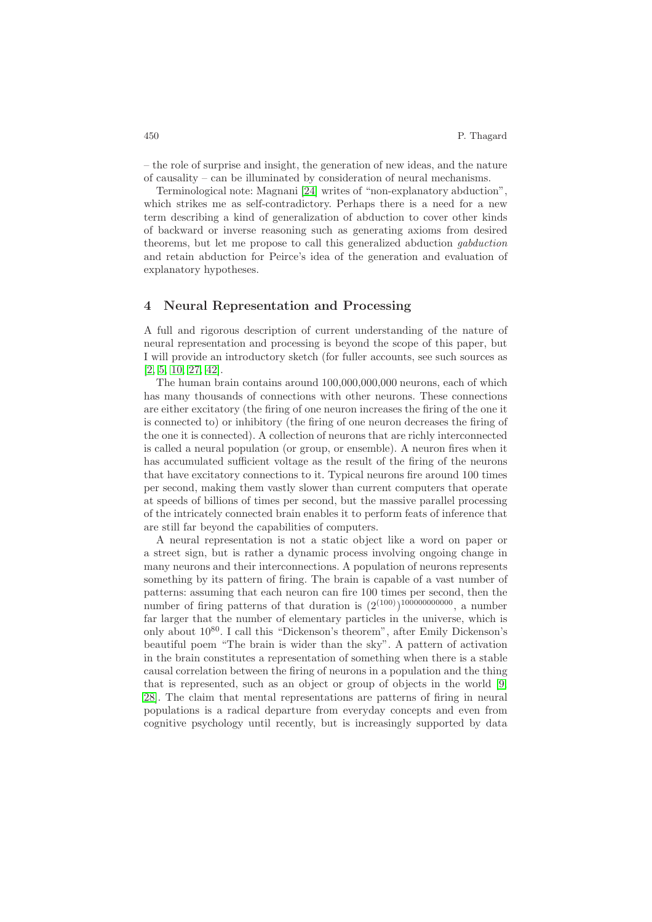– the role of surprise and insight, the generation of new ideas, and the nature of causality – can be illuminated by consideration of neural mechanisms.

Terminological note: Magnani [24] writes of "non-explanatory abduction", which strikes me as self-contradictory. Perhaps there is a need for a new term describing a kind of generalization of abduction to cover other kinds of backward or inverse reasoning such as generating axioms from desired theorems, but let me propose to call this generalized abduction *gabduction* and retain abduction for Peirce's idea of the generation and evaluation of explanatory hypotheses.

#### **4 Neural Representation and Processing**

A full and rigorous description of current understanding of the nature of neural representation and processing is beyond the scope of this paper, but I will provide an introductory sketch (for fuller accounts, see such sources as [2, 5, 10, 27, 42].

The human brain contains around 100,000,000,000 neurons, each of which has many thousands of connections with other neurons. These connections are either excitatory (the firing of one neuron increases the firing of the one it is connected to) or inhibitory (the firing of one neuron decreases the firing of the one it is connected). A collection of neurons that are richly interconnected is called a neural population (or group, or ensemble). A neuron fires when it has accumulated sufficient voltage as the result of the firing of the neurons that have excitatory connections to it. Typical neurons fire around 100 times per second, making them vastly slower than current computers that operate at speeds of billions of times per second, but the massive parallel processing of the intricately connected brain enables it to perform feats of inference that are still far beyond the capabilities of computers.

A neural representation is not a static object like a word on paper or a street sign, but is rather a dynamic process involving ongoing change in many neurons and their interconnections. A population of neurons represents something by its pattern of firing. The brain is capable of a vast number of patterns: assuming that each neuron can fire 100 times per second, then the number of firing patterns of that duration is  $(2^{(100)})^{100000000000}$ , a number far larger that the number of elementary particles in the universe, which is only about 10<sup>80</sup>. I call this "Dickenson's theorem", after Emily Dickenson's beautiful poem "The brain is wider than the sky". A pattern of activation in the brain constitutes a representation of something when there is a stable causal correlation between the firing of neurons in a population and the thing that is represented, such as an object or group of objects in the world [9, 28]. The claim that mental representations are patterns of firing in neural populations is a radical departure from everyday concepts and even from cognitive psychology until recently, but is increasingly supported by data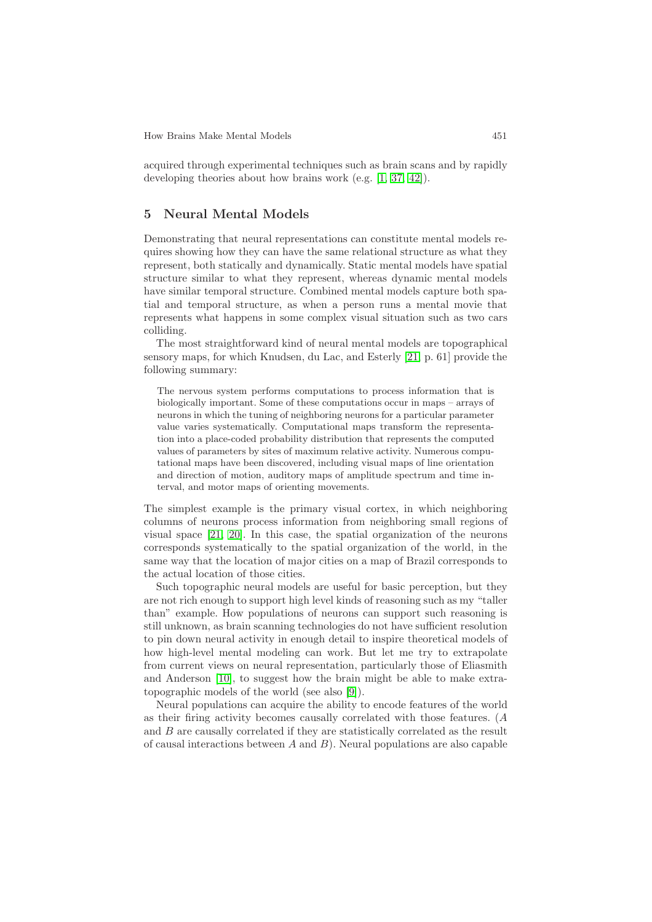acquired through experimental techniques such as brain scans and by rapidly developing theories about how brains work (e.g. [1, 37, 42]).

## **5 Neural Mental Models**

Demonstrating that neural representations can constitute mental models requires showing how they can have the same relational structure as what they represent, both statically and dynamically. Static mental models have spatial structure similar to what they represent, whereas dynamic mental models have similar temporal structure. Combined mental models capture both spatial and temporal structure, as when a person runs a mental movie that represents what happens in some complex visual situation such as two cars colliding.

The most straightforward kind of neural mental models are topographical sensory maps, for which Knudsen, du Lac, and Esterly [21, p. 61] provide the following summary:

The nervous system performs computations to process information that is biologically important. Some of these computations occur in maps – arrays of neurons in which the tuning of neighboring neurons for a particular parameter value varies systematically. Computational maps transform the representation into a place-coded probability distribution that represents the computed values of parameters by sites of maximum relative activity. Numerous computational maps have been discovered, including visual maps of line orientation and direction of motion, auditory maps of amplitude spectrum and time interval, and motor maps of orienting movements.

The simplest example is the primary visual cortex, in which neighboring columns of neurons process information from neighboring small regions of visual space [21, 20]. In this case, the spatial organization of the neurons corresponds systematically to the spatial organization of the world, in the same way that the location of major cities on a map of Brazil corresponds to the actual location of those cities.

Such topographic neural models are useful for basic perception, but they are not rich enough to support high level kinds of reasoning such as my "taller than" example. How populations of neurons can support such reasoning is still unknown, as brain scanning technologies do not have sufficient resolution to pin down neural activity in enough detail to inspire theoretical models of how high-level mental modeling can work. But let me try to extrapolate from current views on neural representation, particularly those of Eliasmith and Anderson [10], to suggest how the brain might be able to make extratopographic models of the world (see also [9]).

Neural populations can acquire the ability to encode features of the world as their firing activity becomes causally correlated with those features. (A and B are causally correlated if they are statistically correlated as the result of causal interactions between  $A$  and  $B$ ). Neural populations are also capable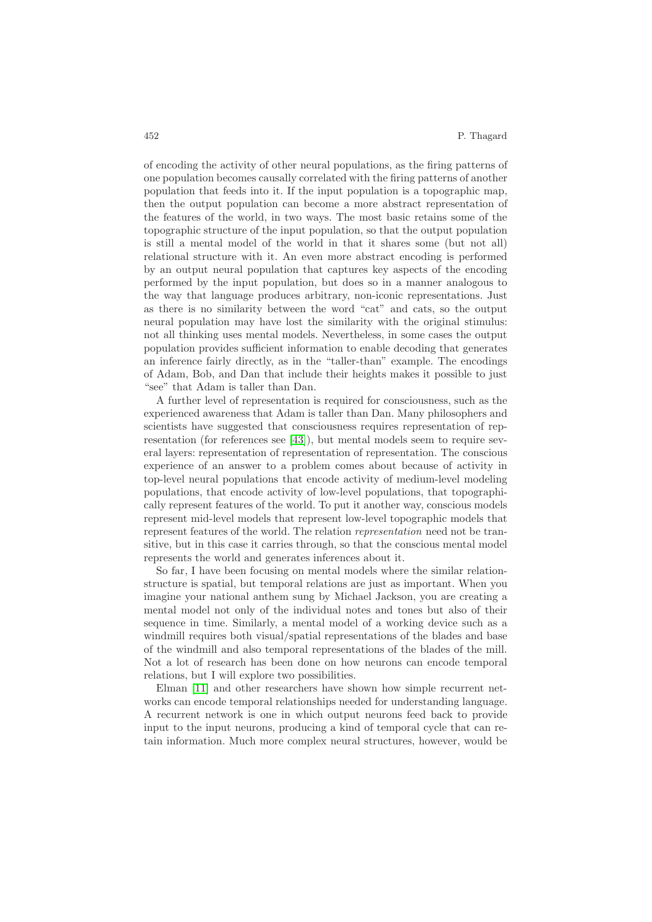of encoding the activity of other neural populations, as the firing patterns of one population becomes causally correlated with the firing patterns of another population that feeds into it. If the input population is a topographic map, then the output population can become a more abstract representation of the features of the world, in two ways. The most basic retains some of the topographic structure of the input population, so that the output population is still a mental model of the world in that it shares some (but not all) relational structure with it. An even more abstract encoding is performed by an output neural population that captures key aspects of the encoding performed by the input population, but does so in a manner analogous to the way that language produces arbitrary, non-iconic representations. Just as there is no similarity between the word "cat" and cats, so the output neural population may have lost the similarity with the original stimulus: not all thinking uses mental models. Nevertheless, in some cases the output population provides sufficient information to enable decoding that generates an inference fairly directly, as in the "taller-than" example. The encodings of Adam, Bob, and Dan that include their heights makes it possible to just "see" that Adam is taller than Dan.

A further level of representation is required for consciousness, such as the experienced awareness that Adam is taller than Dan. Many philosophers and scientists have suggested that consciousness requires representation of representation (for references see [43]), but mental models seem to require several layers: representation of representation of representation. The conscious experience of an answer to a problem comes about because of activity in top-level neural populations that encode activity of medium-level modeling populations, that encode activity of low-level populations, that topographically represent features of the world. To put it another way, conscious models represent mid-level models that represent low-level topographic models that represent features of the world. The relation *representation* need not be transitive, but in this case it carries through, so that the conscious mental model represents the world and generates inferences about it.

So far, I have been focusing on mental models where the similar relationstructure is spatial, but temporal relations are just as important. When you imagine your national anthem sung by Michael Jackson, you are creating a mental model not only of the individual notes and tones but also of their sequence in time. Similarly, a mental model of a working device such as a windmill requires both visual/spatial representations of the blades and base of the windmill and also temporal representations of the blades of the mill. Not a lot of research has been done on how neurons can encode temporal relations, but I will explore two possibilities.

Elman [11] and other researchers have shown how simple recurrent networks can encode temporal relationships needed for understanding language. A recurrent network is one in which output neurons feed back to provide input to the input neurons, producing a kind of temporal cycle that can retain information. Much more complex neural structures, however, would be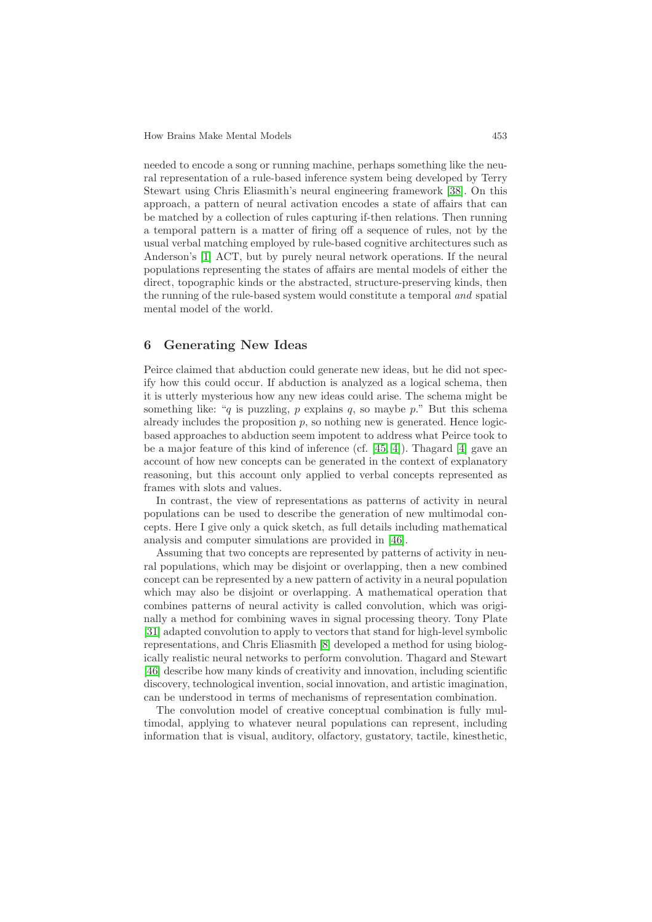needed to encode a song or running machine, perhaps something like the neural representation of a rule-based inference system being developed by Terry Stewart using Chris Eliasmith's neural engineering framework [38]. On this approach, a pattern of neural activation encodes a state of affairs that can be matched by a collection of rules capturing if-then relations. Then running a temporal pattern is a matter of firing off a sequence of rules, not by the usual verbal matching employed by rule-based cognitive architectures such as Anderson's [1] ACT, but by purely neural network operations. If the neural populations representing the states of affairs are mental models of either the direct, topographic kinds or the abstracted, structure-preserving kinds, then the running of the rule-based system would constitute a temporal *and* spatial mental model of the world.

#### **6 Generating New Ideas**

Peirce claimed that abduction could generate new ideas, but he did not specify how this could occur. If abduction is analyzed as a logical schema, then it is utterly mysterious how any new ideas could arise. The schema might be something like: "q is puzzling, p explains q, so maybe p." But this schema already includes the proposition  $p$ , so nothing new is generated. Hence logicbased approaches to abduction seem impotent to address what Peirce took to be a major feature of this kind of inference (cf. [45, 4]). Thagard [4] gave an account of how new concepts can be generated in the context of explanatory reasoning, but this account only applied to verbal concepts represented as frames with slots and values.

In contrast, the view of representations as patterns of activity in neural populations can be used to describe the generation of new multimodal concepts. Here I give only a quick sketch, as full details including mathematical analysis and computer simulations are provided in [46].

Assuming that two concepts are represented by patterns of activity in neural populations, which may be disjoint or overlapping, then a new combined concept can be represented by a new pattern of activity in a neural population which may also be disjoint or overlapping. A mathematical operation that combines patterns of neural activity is called convolution, which was originally a method for combining waves in signal processing theory. Tony Plate [31] adapted convolution to apply to vectors that stand for high-level symbolic representations, and Chris Eliasmith [8] developed a method for using biologically realistic neural networks to perform convolution. Thagard and Stewart [46] describe how many kinds of creativity and innovation, including scientific discovery, technological invention, social innovation, and artistic imagination, can be understood in terms of mechanisms of representation combination.

The convolution model of creative conceptual combination is fully multimodal, applying to whatever neural populations can represent, including information that is visual, auditory, olfactory, gustatory, tactile, kinesthetic,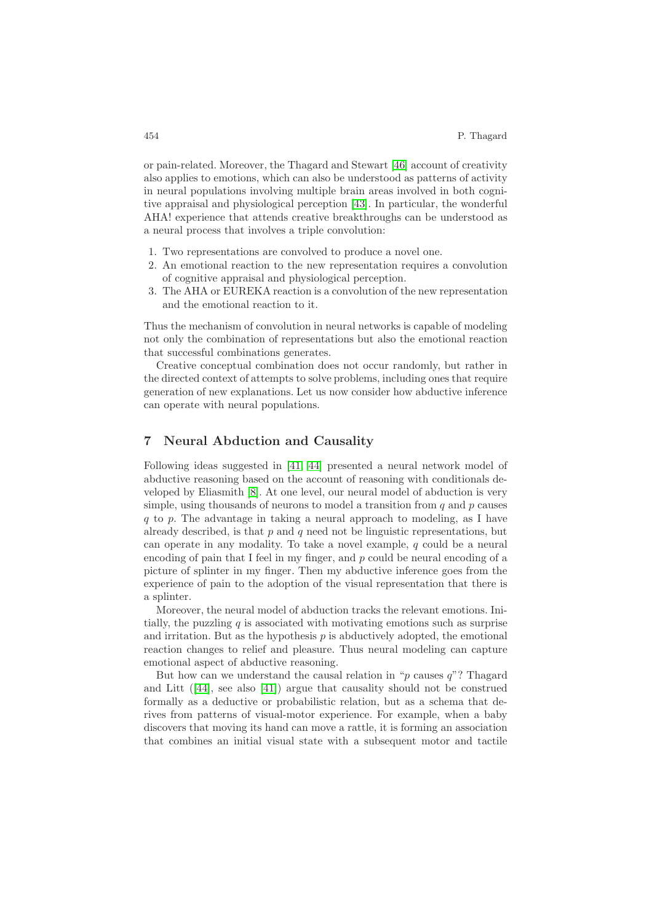or pain-related. Moreover, the Thagard and Stewart [46] account of creativity also applies to emotions, which can also be understood as patterns of activity in neural populations involving multiple brain areas involved in both cognitive appraisal and physiological perception [43]. In particular, the wonderful AHA! experience that attends creative breakthroughs can be understood as a neural process that involves a triple convolution:

- 1. Two representations are convolved to produce a novel one.
- 2. An emotional reaction to the new representation requires a convolution of cognitive appraisal and physiological perception.
- 3. The AHA or EUREKA reaction is a convolution of the new representation and the emotional reaction to it.

Thus the mechanism of convolution in neural networks is capable of modeling not only the combination of representations but also the emotional reaction that successful combinations generates.

Creative conceptual combination does not occur randomly, but rather in the directed context of attempts to solve problems, including ones that require generation of new explanations. Let us now consider how abductive inference can operate with neural populations.

#### **7 Neural Abduction and Causality**

Following ideas suggested in [41, 44] presented a neural network model of abductive reasoning based on the account of reasoning with conditionals developed by Eliasmith [8]. At one level, our neural model of abduction is very simple, using thousands of neurons to model a transition from  $q$  and  $p$  causes q to p. The advantage in taking a neural approach to modeling, as I have already described, is that  $p$  and  $q$  need not be linguistic representations, but can operate in any modality. To take a novel example,  $q$  could be a neural encoding of pain that I feel in my finger, and p could be neural encoding of a picture of splinter in my finger. Then my abductive inference goes from the experience of pain to the adoption of the visual representation that there is a splinter.

Moreover, the neural model of abduction tracks the relevant emotions. Initially, the puzzling  $q$  is associated with motivating emotions such as surprise and irritation. But as the hypothesis  $p$  is abductively adopted, the emotional reaction changes to relief and pleasure. Thus neural modeling can capture emotional aspect of abductive reasoning.

But how can we understand the causal relation in " $p$  causes  $q$ "? Thagard and Litt ([44], see also [41]) argue that causality should not be construed formally as a deductive or probabilistic relation, but as a schema that derives from patterns of visual-motor experience. For example, when a baby discovers that moving its hand can move a rattle, it is forming an association that combines an initial visual state with a subsequent motor and tactile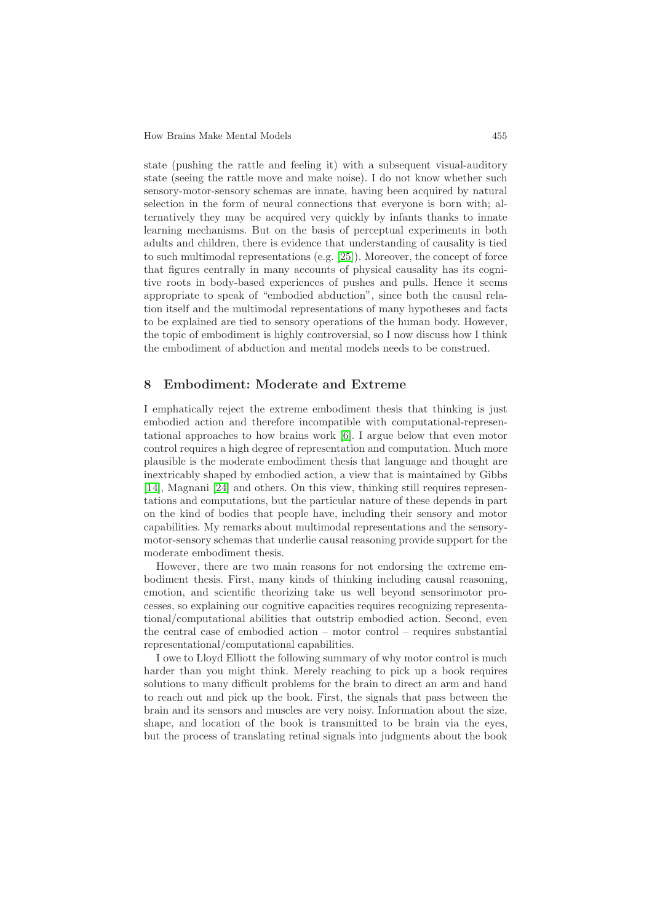state (pushing the rattle and feeling it) with a subsequent visual-auditory state (seeing the rattle move and make noise). I do not know whether such sensory-motor-sensory schemas are innate, having been acquired by natural selection in the form of neural connections that everyone is born with; alternatively they may be acquired very quickly by infants thanks to innate learning mechanisms. But on the basis of perceptual experiments in both adults and children, there is evidence that understanding of causality is tied to such multimodal representations (e.g. [25]). Moreover, the concept of force that figures centrally in many accounts of physical causality has its cognitive roots in body-based experiences of pushes and pulls. Hence it seems appropriate to speak of "embodied abduction", since both the causal relation itself and the multimodal representations of many hypotheses and facts to be explained are tied to sensory operations of the human body. However, the topic of embodiment is highly controversial, so I now discuss how I think the embodiment of abduction and mental models needs to be construed.

#### **8 Embodiment: Moderate and Extreme**

I emphatically reject the extreme embodiment thesis that thinking is just embodied action and therefore incompatible with computational-representational approaches to how brains work [6]. I argue below that even motor control requires a high degree of representation and computation. Much more plausible is the moderate embodiment thesis that language and thought are inextricably shaped by embodied action, a view that is maintained by Gibbs [14], Magnani [24] and others. On this view, thinking still requires representations and computations, but the particular nature of these depends in part on the kind of bodies that people have, including their sensory and motor capabilities. My remarks about multimodal representations and the sensorymotor-sensory schemas that underlie causal reasoning provide support for the moderate embodiment thesis.

However, there are two main reasons for not endorsing the extreme embodiment thesis. First, many kinds of thinking including causal reasoning, emotion, and scientific theorizing take us well beyond sensorimotor processes, so explaining our cognitive capacities requires recognizing representational/computational abilities that outstrip embodied action. Second, even the central case of embodied action – motor control – requires substantial representational/computational capabilities.

I owe to Lloyd Elliott the following summary of why motor control is much harder than you might think. Merely reaching to pick up a book requires solutions to many difficult problems for the brain to direct an arm and hand to reach out and pick up the book. First, the signals that pass between the brain and its sensors and muscles are very noisy. Information about the size, shape, and location of the book is transmitted to be brain via the eyes, but the process of translating retinal signals into judgments about the book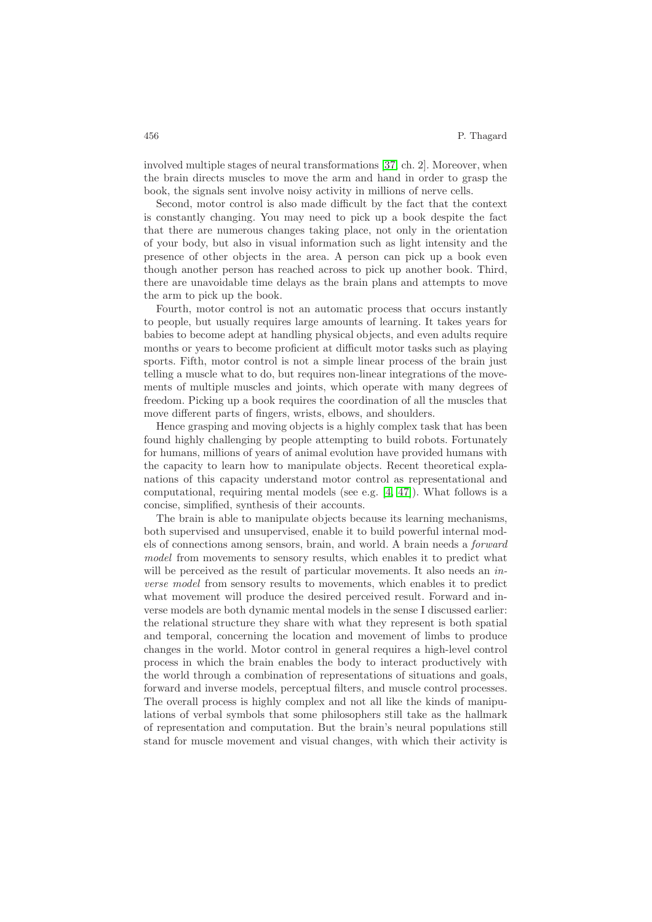involved multiple stages of neural transformations [37, ch. 2]. Moreover, when the brain directs muscles to move the arm and hand in order to grasp the book, the signals sent involve noisy activity in millions of nerve cells.

Second, motor control is also made difficult by the fact that the context is constantly changing. You may need to pick up a book despite the fact that there are numerous changes taking place, not only in the orientation of your body, but also in visual information such as light intensity and the presence of other objects in the area. A person can pick up a book even though another person has reached across to pick up another book. Third, there are unavoidable time delays as the brain plans and attempts to move the arm to pick up the book.

Fourth, motor control is not an automatic process that occurs instantly to people, but usually requires large amounts of learning. It takes years for babies to become adept at handling physical objects, and even adults require months or years to become proficient at difficult motor tasks such as playing sports. Fifth, motor control is not a simple linear process of the brain just telling a muscle what to do, but requires non-linear integrations of the movements of multiple muscles and joints, which operate with many degrees of freedom. Picking up a book requires the coordination of all the muscles that move different parts of fingers, wrists, elbows, and shoulders.

Hence grasping and moving objects is a highly complex task that has been found highly challenging by people attempting to build robots. Fortunately for humans, millions of years of animal evolution have provided humans with the capacity to learn how to manipulate objects. Recent theoretical explanations of this capacity understand motor control as representational and computational, requiring mental models (see e.g. [4, 47]). What follows is a concise, simplified, synthesis of their accounts.

The brain is able to manipulate objects because its learning mechanisms, both supervised and unsupervised, enable it to build powerful internal models of connections among sensors, brain, and world. A brain needs a *forward model* from movements to sensory results, which enables it to predict what will be perceived as the result of particular movements. It also needs an *inverse model* from sensory results to movements, which enables it to predict what movement will produce the desired perceived result. Forward and inverse models are both dynamic mental models in the sense I discussed earlier: the relational structure they share with what they represent is both spatial and temporal, concerning the location and movement of limbs to produce changes in the world. Motor control in general requires a high-level control process in which the brain enables the body to interact productively with the world through a combination of representations of situations and goals, forward and inverse models, perceptual filters, and muscle control processes. The overall process is highly complex and not all like the kinds of manipulations of verbal symbols that some philosophers still take as the hallmark of representation and computation. But the brain's neural populations still stand for muscle movement and visual changes, with which their activity is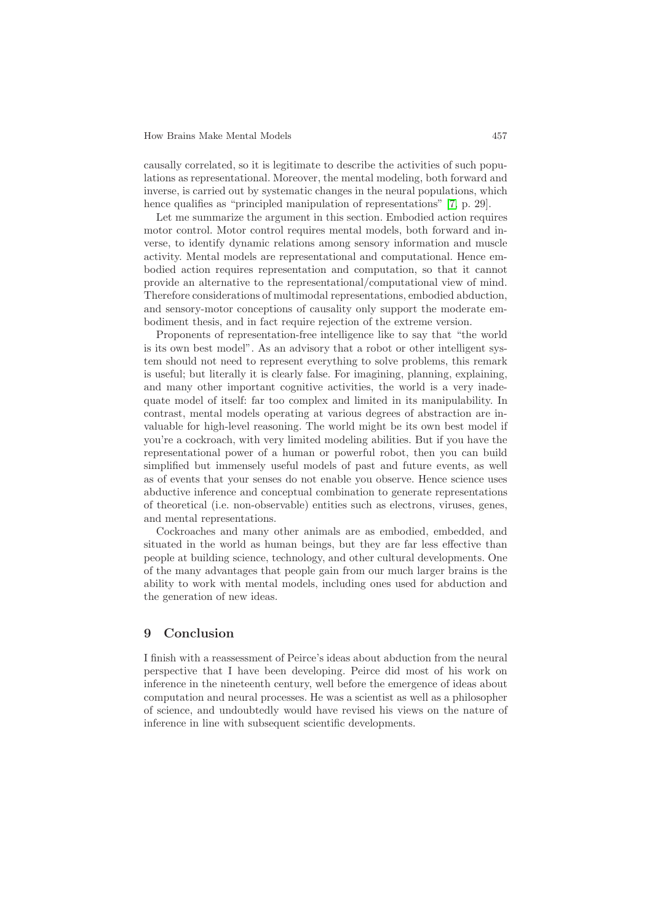causally correlated, so it is legitimate to describe the activities of such populations as representational. Moreover, the mental modeling, both forward and inverse, is carried out by systematic changes in the neural populations, which hence qualifies as "principled manipulation of representations" [7, p. 29].

Let me summarize the argument in this section. Embodied action requires motor control. Motor control requires mental models, both forward and inverse, to identify dynamic relations among sensory information and muscle activity. Mental models are representational and computational. Hence embodied action requires representation and computation, so that it cannot provide an alternative to the representational/computational view of mind. Therefore considerations of multimodal representations, embodied abduction, and sensory-motor conceptions of causality only support the moderate embodiment thesis, and in fact require rejection of the extreme version.

Proponents of representation-free intelligence like to say that "the world is its own best model". As an advisory that a robot or other intelligent system should not need to represent everything to solve problems, this remark is useful; but literally it is clearly false. For imagining, planning, explaining, and many other important cognitive activities, the world is a very inadequate model of itself: far too complex and limited in its manipulability. In contrast, mental models operating at various degrees of abstraction are invaluable for high-level reasoning. The world might be its own best model if you're a cockroach, with very limited modeling abilities. But if you have the representational power of a human or powerful robot, then you can build simplified but immensely useful models of past and future events, as well as of events that your senses do not enable you observe. Hence science uses abductive inference and conceptual combination to generate representations of theoretical (i.e. non-observable) entities such as electrons, viruses, genes, and mental representations.

Cockroaches and many other animals are as embodied, embedded, and situated in the world as human beings, but they are far less effective than people at building science, technology, and other cultural developments. One of the many advantages that people gain from our much larger brains is the ability to work with mental models, including ones used for abduction and the generation of new ideas.

#### **9 Conclusion**

I finish with a reassessment of Peirce's ideas about abduction from the neural perspective that I have been developing. Peirce did most of his work on inference in the nineteenth century, well before the emergence of ideas about computation and neural processes. He was a scientist as well as a philosopher of science, and undoubtedly would have revised his views on the nature of inference in line with subsequent scientific developments.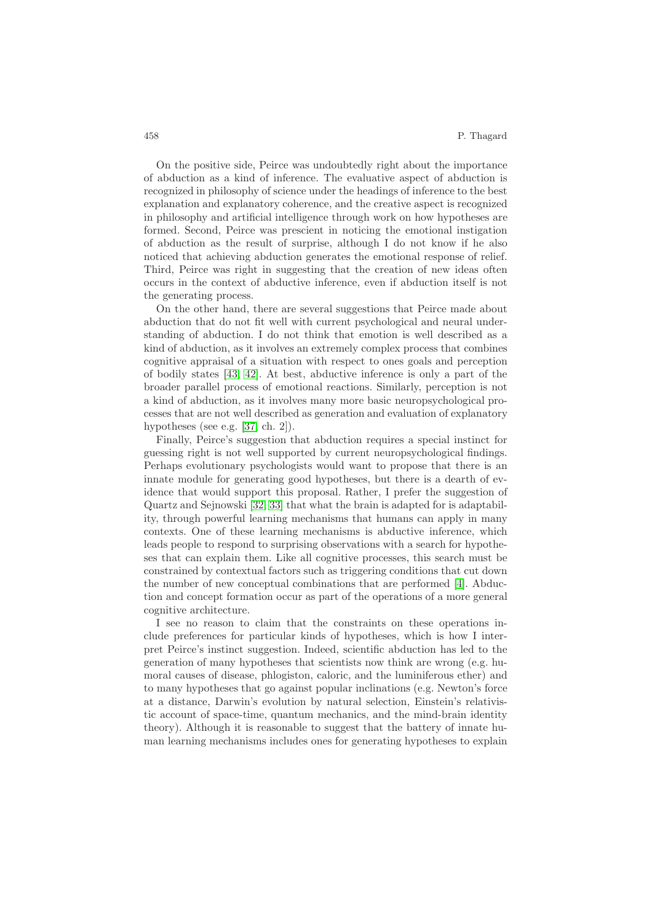On the positive side, Peirce was undoubtedly right about the importance of abduction as a kind of inference. The evaluative aspect of abduction is recognized in philosophy of science under the headings of inference to the best explanation and explanatory coherence, and the creative aspect is recognized in philosophy and artificial intelligence through work on how hypotheses are formed. Second, Peirce was prescient in noticing the emotional instigation of abduction as the result of surprise, although I do not know if he also noticed that achieving abduction generates the emotional response of relief. Third, Peirce was right in suggesting that the creation of new ideas often occurs in the context of abductive inference, even if abduction itself is not the generating process.

On the other hand, there are several suggestions that Peirce made about abduction that do not fit well with current psychological and neural understanding of abduction. I do not think that emotion is well described as a kind of abduction, as it involves an extremely complex process that combines cognitive appraisal of a situation with respect to ones goals and perception of bodily states [43, 42]. At best, abductive inference is only a part of the broader parallel process of emotional reactions. Similarly, perception is not a kind of abduction, as it involves many more basic neuropsychological processes that are not well described as generation and evaluation of explanatory hypotheses (see e.g. [37, ch. 2]).

Finally, Peirce's suggestion that abduction requires a special instinct for guessing right is not well supported by current neuropsychological findings. Perhaps evolutionary psychologists would want to propose that there is an innate module for generating good hypotheses, but there is a dearth of evidence that would support this proposal. Rather, I prefer the suggestion of Quartz and Sejnowski [32, 33] that what the brain is adapted for is adaptability, through powerful learning mechanisms that humans can apply in many contexts. One of these learning mechanisms is abductive inference, which leads people to respond to surprising observations with a search for hypotheses that can explain them. Like all cognitive processes, this search must be constrained by contextual factors such as triggering conditions that cut down the number of new conceptual combinations that are performed [4]. Abduction and concept formation occur as part of the operations of a more general cognitive architecture.

I see no reason to claim that the constraints on these operations include preferences for particular kinds of hypotheses, which is how I interpret Peirce's instinct suggestion. Indeed, scientific abduction has led to the generation of many hypotheses that scientists now think are wrong (e.g. humoral causes of disease, phlogiston, caloric, and the luminiferous ether) and to many hypotheses that go against popular inclinations (e.g. Newton's force at a distance, Darwin's evolution by natural selection, Einstein's relativistic account of space-time, quantum mechanics, and the mind-brain identity theory). Although it is reasonable to suggest that the battery of innate human learning mechanisms includes ones for generating hypotheses to explain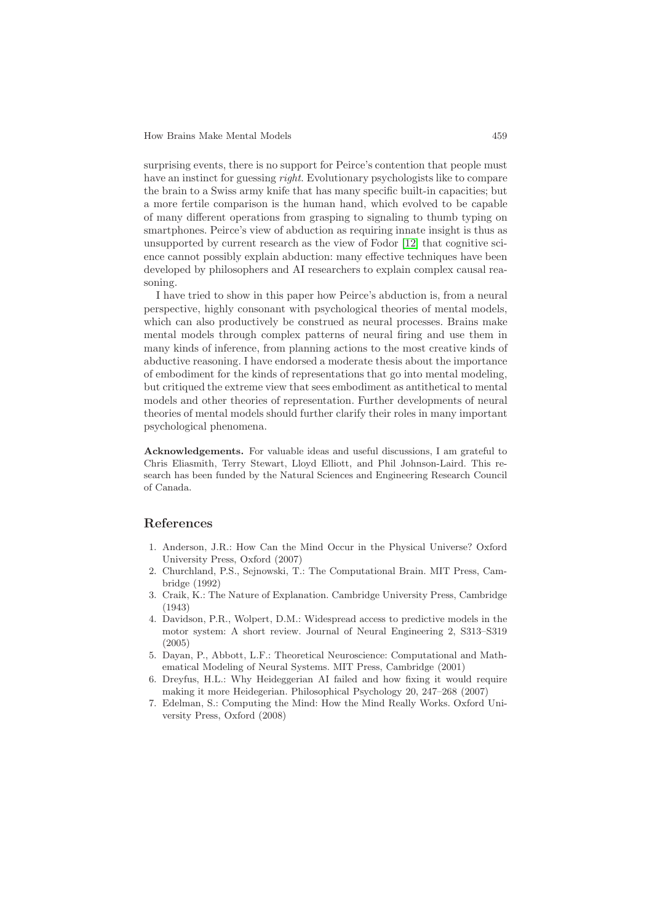surprising events, there is no support for Peirce's contention that people must have an instinct for guessing *right*. Evolutionary psychologists like to compare the brain to a Swiss army knife that has many specific built-in capacities; but a more fertile comparison is the human hand, which evolved to be capable of many different operations from grasping to signaling to thumb typing on smartphones. Peirce's view of abduction as requiring innate insight is thus as unsupported by current research as the view of Fodor [12] that cognitive science cannot possibly explain abduction: many effective techniques have been developed by philosophers and AI researchers to explain complex causal reasoning.

I have tried to show in this paper how Peirce's abduction is, from a neural perspective, highly consonant with psychological theories of mental models, which can also productively be construed as neural processes. Brains make mental models through complex patterns of neural firing and use them in many kinds of inference, from planning actions to the most creative kinds of abductive reasoning. I have endorsed a moderate thesis about the importance of embodiment for the kinds of representations that go into mental modeling, but critiqued the extreme view that sees embodiment as antithetical to mental models and other theories of representation. Further developments of neural theories of mental models should further clarify their roles in many important psychological phenomena.

**Acknowledgements.** For valuable ideas and useful discussions, I am grateful to Chris Eliasmith, Terry Stewart, Lloyd Elliott, and Phil Johnson-Laird. This research has been funded by the Natural Sciences and Engineering Research Council of Canada.

### **References**

- 1. Anderson, J.R.: How Can the Mind Occur in the Physical Universe? Oxford University Press, Oxford (2007)
- 2. Churchland, P.S., Sejnowski, T.: The Computational Brain. MIT Press, Cambridge (1992)
- 3. Craik, K.: The Nature of Explanation. Cambridge University Press, Cambridge (1943)
- 4. Davidson, P.R., Wolpert, D.M.: Widespread access to predictive models in the motor system: A short review. Journal of Neural Engineering 2, S313–S319 (2005)
- 5. Dayan, P., Abbott, L.F.: Theoretical Neuroscience: Computational and Mathematical Modeling of Neural Systems. MIT Press, Cambridge (2001)
- 6. Dreyfus, H.L.: Why Heideggerian AI failed and how fixing it would require making it more Heidegerian. Philosophical Psychology 20, 247–268 (2007)
- 7. Edelman, S.: Computing the Mind: How the Mind Really Works. Oxford University Press, Oxford (2008)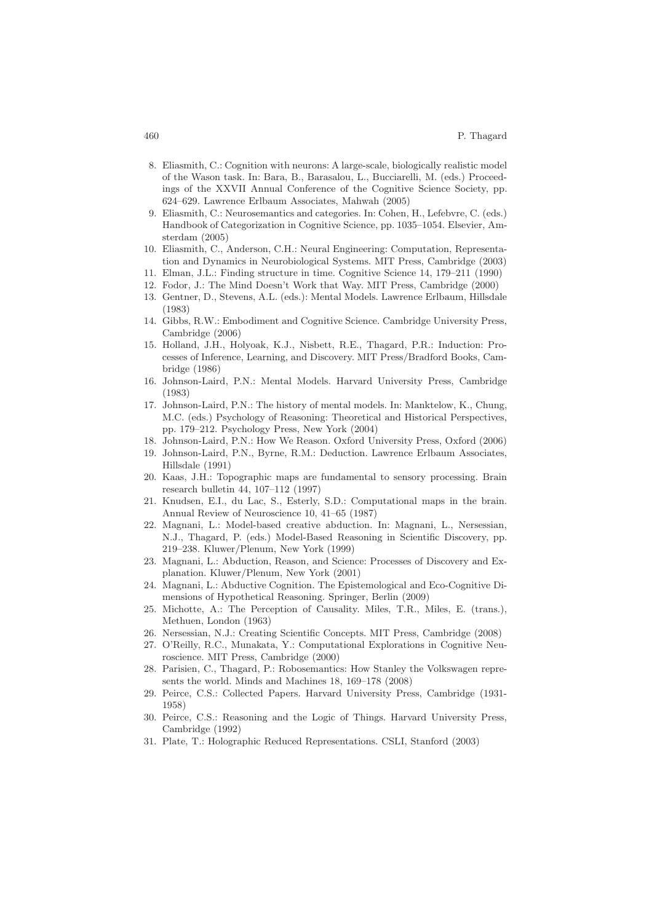- 8. Eliasmith, C.: Cognition with neurons: A large-scale, biologically realistic model of the Wason task. In: Bara, B., Barasalou, L., Bucciarelli, M. (eds.) Proceedings of the XXVII Annual Conference of the Cognitive Science Society, pp. 624–629. Lawrence Erlbaum Associates, Mahwah (2005)
- 9. Eliasmith, C.: Neurosemantics and categories. In: Cohen, H., Lefebvre, C. (eds.) Handbook of Categorization in Cognitive Science, pp. 1035–1054. Elsevier, Amsterdam (2005)
- 10. Eliasmith, C., Anderson, C.H.: Neural Engineering: Computation, Representation and Dynamics in Neurobiological Systems. MIT Press, Cambridge (2003)
- 11. Elman, J.L.: Finding structure in time. Cognitive Science 14, 179–211 (1990)
- 12. Fodor, J.: The Mind Doesn't Work that Way. MIT Press, Cambridge (2000)
- 13. Gentner, D., Stevens, A.L. (eds.): Mental Models. Lawrence Erlbaum, Hillsdale (1983)
- 14. Gibbs, R.W.: Embodiment and Cognitive Science. Cambridge University Press, Cambridge (2006)
- 15. Holland, J.H., Holyoak, K.J., Nisbett, R.E., Thagard, P.R.: Induction: Processes of Inference, Learning, and Discovery. MIT Press/Bradford Books, Cambridge (1986)
- 16. Johnson-Laird, P.N.: Mental Models. Harvard University Press, Cambridge (1983)
- 17. Johnson-Laird, P.N.: The history of mental models. In: Manktelow, K., Chung, M.C. (eds.) Psychology of Reasoning: Theoretical and Historical Perspectives, pp. 179–212. Psychology Press, New York (2004)
- 18. Johnson-Laird, P.N.: How We Reason. Oxford University Press, Oxford (2006)
- 19. Johnson-Laird, P.N., Byrne, R.M.: Deduction. Lawrence Erlbaum Associates, Hillsdale (1991)
- 20. Kaas, J.H.: Topographic maps are fundamental to sensory processing. Brain research bulletin 44, 107–112 (1997)
- 21. Knudsen, E.I., du Lac, S., Esterly, S.D.: Computational maps in the brain. Annual Review of Neuroscience 10, 41–65 (1987)
- 22. Magnani, L.: Model-based creative abduction. In: Magnani, L., Nersessian, N.J., Thagard, P. (eds.) Model-Based Reasoning in Scientific Discovery, pp. 219–238. Kluwer/Plenum, New York (1999)
- 23. Magnani, L.: Abduction, Reason, and Science: Processes of Discovery and Explanation. Kluwer/Plenum, New York (2001)
- 24. Magnani, L.: Abductive Cognition. The Epistemological and Eco-Cognitive Dimensions of Hypothetical Reasoning. Springer, Berlin (2009)
- 25. Michotte, A.: The Perception of Causality. Miles, T.R., Miles, E. (trans.), Methuen, London (1963)
- 26. Nersessian, N.J.: Creating Scientific Concepts. MIT Press, Cambridge (2008)
- 27. O'Reilly, R.C., Munakata, Y.: Computational Explorations in Cognitive Neuroscience. MIT Press, Cambridge (2000)
- 28. Parisien, C., Thagard, P.: Robosemantics: How Stanley the Volkswagen represents the world. Minds and Machines 18, 169–178 (2008)
- 29. Peirce, C.S.: Collected Papers. Harvard University Press, Cambridge (1931- 1958)
- 30. Peirce, C.S.: Reasoning and the Logic of Things. Harvard University Press, Cambridge (1992)
- 31. Plate, T.: Holographic Reduced Representations. CSLI, Stanford (2003)